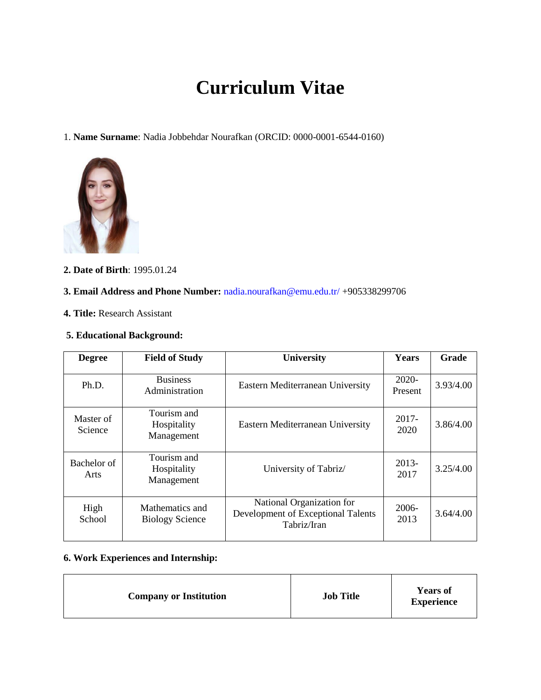# **Curriculum Vitae**

1. **Name Surname**: Nadia Jobbehdar Nourafkan (ORCID: 0000-0001-6544-0160)



**2. Date of Birth**: 1995.01.24

#### **3. Email Address and Phone Number:** nadia.nourafkan@emu.edu.tr/ +905338299706

**4. Title:** Research Assistant

#### **5. Educational Background:**

| <b>Degree</b>        | <b>Field of Study</b>                     | <b>University</b>                                                              | Years              | Grade     |
|----------------------|-------------------------------------------|--------------------------------------------------------------------------------|--------------------|-----------|
| Ph.D.                | <b>Business</b><br>Administration         | Eastern Mediterranean University                                               | $2020-$<br>Present | 3.93/4.00 |
| Master of<br>Science | Tourism and<br>Hospitality<br>Management  | Eastern Mediterranean University                                               | 2017-<br>2020      | 3.86/4.00 |
| Bachelor of<br>Arts  | Tourism and<br>Hospitality<br>Management  | University of Tabriz/                                                          | 2013-<br>2017      | 3.25/4.00 |
| High<br>School       | Mathematics and<br><b>Biology Science</b> | National Organization for<br>Development of Exceptional Talents<br>Tabriz/Iran | 2006-<br>2013      | 3.64/4.00 |

# **6. Work Experiences and Internship:**

| <b>Company or Institution</b> | <b>Job Title</b> | <b>Years of</b><br><b>Experience</b> |
|-------------------------------|------------------|--------------------------------------|
|-------------------------------|------------------|--------------------------------------|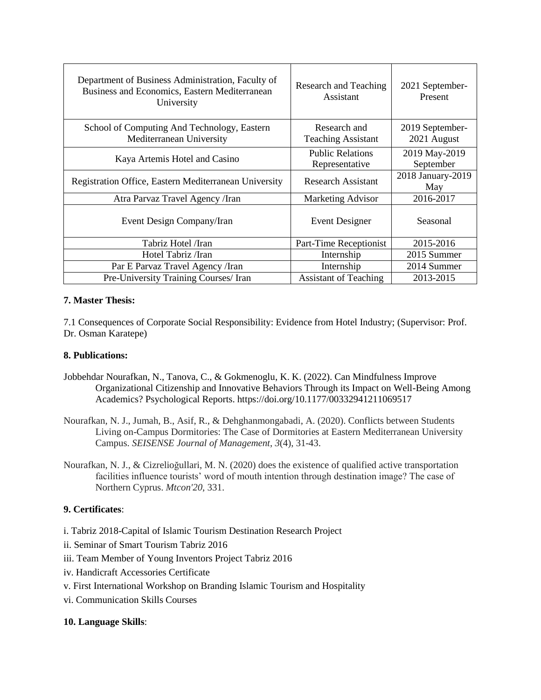| Department of Business Administration, Faculty of<br>Business and Economics, Eastern Mediterranean<br>University | Research and Teaching<br>Assistant        | 2021 September-<br>Present     |  |
|------------------------------------------------------------------------------------------------------------------|-------------------------------------------|--------------------------------|--|
| School of Computing And Technology, Eastern<br>Mediterranean University                                          | Research and<br><b>Teaching Assistant</b> | 2019 September-<br>2021 August |  |
| Kaya Artemis Hotel and Casino                                                                                    | <b>Public Relations</b><br>Representative | 2019 May-2019<br>September     |  |
| Registration Office, Eastern Mediterranean University                                                            | <b>Research Assistant</b>                 | 2018 January-2019<br>May       |  |
| Atra Parvaz Travel Agency / Iran                                                                                 | <b>Marketing Advisor</b>                  | 2016-2017                      |  |
| Event Design Company/Iran                                                                                        | Event Designer                            | Seasonal                       |  |
| Tabriz Hotel /Iran                                                                                               | Part-Time Receptionist                    | 2015-2016                      |  |
| Hotel Tabriz /Iran                                                                                               | Internship                                | 2015 Summer                    |  |
| Par E Parvaz Travel Agency / Iran                                                                                | Internship                                | 2014 Summer                    |  |
| Pre-University Training Courses/ Iran                                                                            | <b>Assistant of Teaching</b>              | 2013-2015                      |  |

#### **7. Master Thesis:**

7.1 Consequences of Corporate Social Responsibility: Evidence from Hotel Industry; (Supervisor: Prof. Dr. Osman Karatepe)

#### **8. Publications:**

- Jobbehdar Nourafkan, N., Tanova, C., & Gokmenoglu, K. K. (2022). Can Mindfulness Improve Organizational Citizenship and Innovative Behaviors Through its Impact on Well-Being Among Academics? Psychological Reports. https://doi.org/10.1177/00332941211069517
- Nourafkan, N. J., Jumah, B., Asif, R., & Dehghanmongabadi, A. (2020). Conflicts between Students Living on-Campus Dormitories: The Case of Dormitories at Eastern Mediterranean University Campus. *SEISENSE Journal of Management*, *3*(4), 31-43.
- Nourafkan, N. J., & Cizrelioğullari, M. N. (2020) does the existence of qualified active transportation facilities influence tourists' word of mouth intention through destination image? The case of Northern Cyprus. *Mtcon'20*, 331.

### **9. Certificates**:

- i. Tabriz 2018-Capital of Islamic Tourism Destination Research Project
- ii. Seminar of Smart Tourism Tabriz 2016
- iii. Team Member of Young Inventors Project Tabriz 2016
- iv. Handicraft Accessories Certificate
- v. First International Workshop on Branding Islamic Tourism and Hospitality
- vi. Communication Skills Courses

#### **10. Language Skills**: